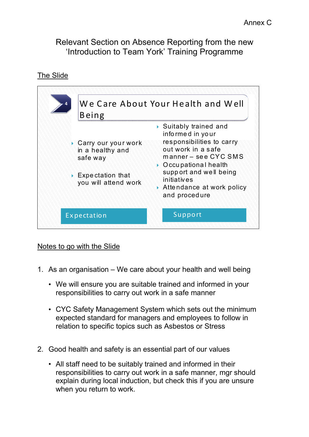Relevant Section on Absence Reporting from the new 'Introduction to Team York' Training Programme

The Slide



## Notes to go with the Slide

- 1. As an organisation We care about your health and well being
	- We will ensure you are suitable trained and informed in your responsibilities to carry out work in a safe manner
	- CYC Safety Management System which sets out the minimum expected standard for managers and employees to follow in relation to specific topics such as Asbestos or Stress
- 2. Good health and safety is an essential part of our values
	- All staff need to be suitably trained and informed in their responsibilities to carry out work in a safe manner, mgr should explain during local induction, but check this if you are unsure when you return to work.